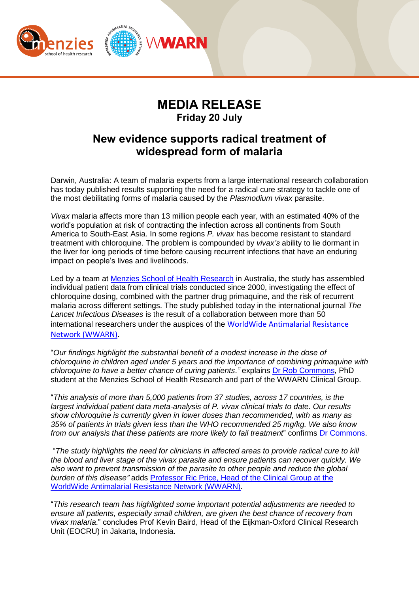

## **MEDIA RELEASE Friday 20 July**

## **New evidence supports radical treatment of widespread form of malaria**

Darwin, Australia: A team of malaria experts from a large international research collaboration has today published results supporting the need for a radical cure strategy to tackle one of the most debilitating forms of malaria caused by the *Plasmodium vivax* parasite.

*Vivax* malaria affects more than 13 million people each year, with an estimated 40% of the world's population at risk of contracting the infection across all continents from South America to South-East Asia. In some regions *P. vivax* has become resistant to standard treatment with chloroquine. The problem is compounded by *vivax's* ability to lie dormant in the liver for long periods of time before causing recurrent infections that have an enduring impact on people's lives and livelihoods.

Led by a team at [Menzies School of Health Research](https://www.menzies.edu.au/page/Research/Global_and_Tropical_Health/Malaria/) in Australia, the study has assembled individual patient data from clinical trials conducted since 2000, investigating the effect of chloroquine dosing, combined with the partner drug primaquine, and the risk of recurrent malaria across different settings. The study published today in the international journal *The Lancet Infectious Diseases* is the result of a collaboration between more than 50 international researchers under the auspices of the [WorldWide Antimalarial Resistance](http://www.wwarn.org/)  [Network \(WWARN\)](http://www.wwarn.org/).

"*Our findings highlight the substantial benefit of a modest increase in the dose of chloroquine in children aged under 5 years and the importance of combining primaquine with chloroquine to have a better chance of curing patients."* explains [Dr Rob Commons,](http://www.wwarn.org/about-us/governance-people/dr-rob-commons) PhD student at the Menzies School of Health Research and part of the WWARN Clinical Group.

"*This analysis of more than 5,000 patients from 37 studies, across 17 countries, is the largest individual patient data meta-analysis of P. vivax clinical trials to date. Our results show chloroquine is currently given in lower doses than recommended, with as many as 35% of patients in trials given less than the WHO recommended 25 mg/kg. We also know from our analysis that these patients are more likely to fail treatment*" confirms [Dr Commons.](http://www.wwarn.org/about-us/governance-people/dr-rob-commons)

"*The study highlights the need for clinicians in affected areas to provide radical cure to kill the blood and liver stage of the vivax parasite and ensure patients can recover quickly. We also want to prevent transmission of the parasite to other people and reduce the global burden of this disease"* adds [Professor Ric Price, Head of the Clinical Group at the](http://www.wwarn.org/about-us/governance-people/professor-ric-price)  [WorldWide Antimalarial Resistance Network \(WWARN\).](http://www.wwarn.org/about-us/governance-people/professor-ric-price)

"*This research team has highlighted some important potential adjustments are needed to ensure all patients, especially small children, are given the best chance of recovery from vivax malaria*." concludes Prof Kevin Baird, Head of the Eijkman-Oxford Clinical Research Unit (EOCRU) in Jakarta, Indonesia.